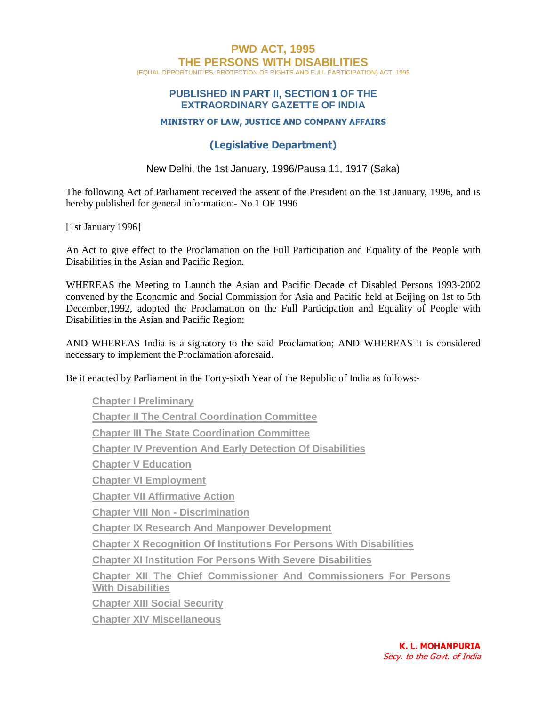# **PWD ACT, 1995 THE PERSONS WITH DISABILITIES**

(EQUAL OPPORTUNITIES, PROTECTION OF RIGHTS AND FULL PARTICIPATION) ACT, 1995

#### **PUBLISHED IN PART II, SECTION 1 OF THE EXTRAORDINARY GAZETTE OF INDIA**

#### MINISTRY OF LAW, JUSTICE AND COMPANY AFFAIRS

## (Legislative Department)

#### New Delhi, the 1st January, 1996/Pausa 11, 1917 (Saka)

The following Act of Parliament received the assent of the President on the 1st January, 1996, and is hereby published for general information:- No.1 OF 1996

[1st January 1996]

An Act to give effect to the Proclamation on the Full Participation and Equality of the People with Disabilities in the Asian and Pacific Region.

WHEREAS the Meeting to Launch the Asian and Pacific Decade of Disabled Persons 1993-2002 convened by the Economic and Social Commission for Asia and Pacific held at Beijing on 1st to 5th December,1992, adopted the Proclamation on the Full Participation and Equality of People with Disabilities in the Asian and Pacific Region;

AND WHEREAS India is a signatory to the said Proclamation; AND WHEREAS it is considered necessary to implement the Proclamation aforesaid.

Be it enacted by Parliament in the Forty-sixth Year of the Republic of India as follows:-

| <b>Chapter I Preliminary</b>                                                                        |
|-----------------------------------------------------------------------------------------------------|
| <b>Chapter II The Central Coordination Committee</b>                                                |
| <b>Chapter III The State Coordination Committee</b>                                                 |
| <b>Chapter IV Prevention And Early Detection Of Disabilities</b>                                    |
| <b>Chapter V Education</b>                                                                          |
| <b>Chapter VI Employment</b>                                                                        |
| <b>Chapter VII Affirmative Action</b>                                                               |
| <b>Chapter VIII Non - Discrimination</b>                                                            |
| <b>Chapter IX Research And Manpower Development</b>                                                 |
| <b>Chapter X Recognition Of Institutions For Persons With Disabilities</b>                          |
| <b>Chapter XI Institution For Persons With Severe Disabilities</b>                                  |
| <b>Chapter XII The Chief Commissioner And Commissioners For Persons</b><br><b>With Disabilities</b> |
| <b>Chapter XIII Social Security</b>                                                                 |
| <b>Chapter XIV Miscellaneous</b>                                                                    |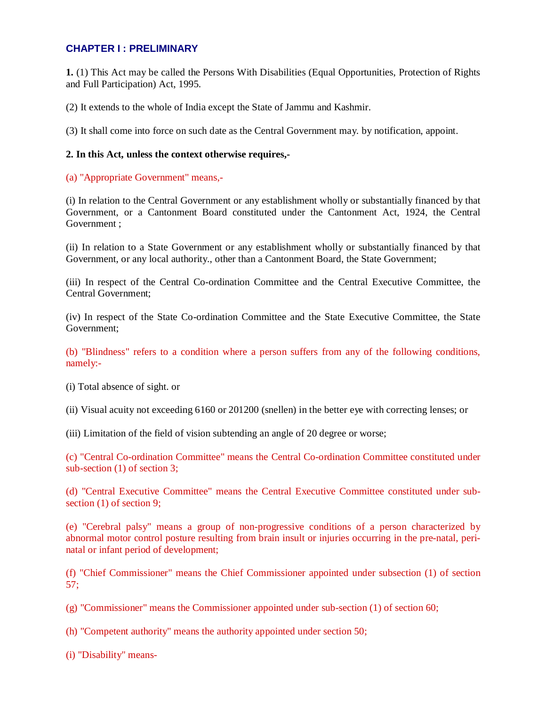#### **CHAPTER I : PRELIMINARY**

**1.** (1) This Act may be called the Persons With Disabilities (Equal Opportunities, Protection of Rights and Full Participation) Act, 1995.

(2) It extends to the whole of India except the State of Jammu and Kashmir.

(3) It shall come into force on such date as the Central Government may. by notification, appoint.

#### **2. In this Act, unless the context otherwise requires,-**

(a) "Appropriate Government" means,-

(i) In relation to the Central Government or any establishment wholly or substantially financed by that Government, or a Cantonment Board constituted under the Cantonment Act, 1924, the Central Government ;

(ii) In relation to a State Government or any establishment wholly or substantially financed by that Government, or any local authority., other than a Cantonment Board, the State Government;

(iii) In respect of the Central Co-ordination Committee and the Central Executive Committee, the Central Government;

(iv) In respect of the State Co-ordination Committee and the State Executive Committee, the State Government;

(b) "Blindness" refers to a condition where a person suffers from any of the following conditions, namely:-

(i) Total absence of sight. or

(ii) Visual acuity not exceeding 6160 or 201200 (snellen) in the better eye with correcting lenses; or

(iii) Limitation of the field of vision subtending an angle of 20 degree or worse;

(c) "Central Co-ordination Committee" means the Central Co-ordination Committee constituted under sub-section (1) of section 3;

(d) "Central Executive Committee" means the Central Executive Committee constituted under subsection (1) of section 9;

(e) "Cerebral palsy" means a group of non-progressive conditions of a person characterized by abnormal motor control posture resulting from brain insult or injuries occurring in the pre-natal, perinatal or infant period of development;

(f) "Chief Commissioner" means the Chief Commissioner appointed under subsection (1) of section 57;

(g) "Commissioner" means the Commissioner appointed under sub-section (1) of section 60;

(h) "Competent authority" means the authority appointed under section 50;

(i) "Disability" means-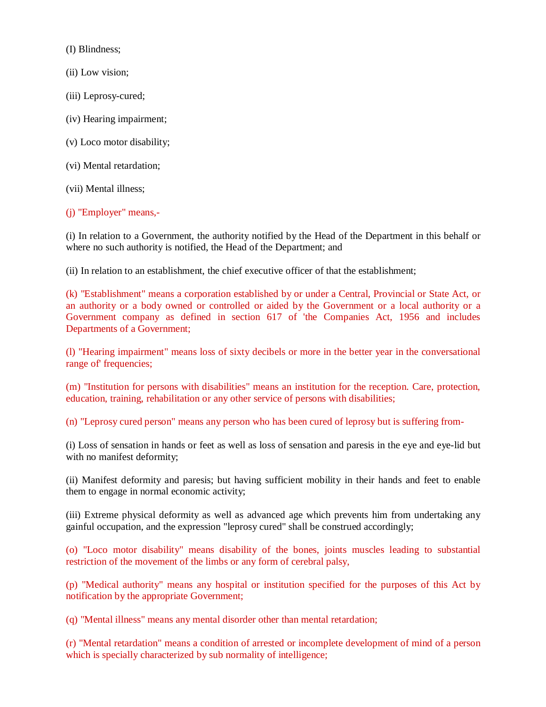(I) Blindness;

- (ii) Low vision;
- (iii) Leprosy-cured;
- (iv) Hearing impairment;
- (v) Loco motor disability;
- (vi) Mental retardation;

(vii) Mental illness;

(j) "Employer" means,-

(i) In relation to a Government, the authority notified by the Head of the Department in this behalf or where no such authority is notified, the Head of the Department; and

(ii) In relation to an establishment, the chief executive officer of that the establishment;

(k) "Establishment" means a corporation established by or under a Central, Provincial or State Act, or an authority or a body owned or controlled or aided by the Government or a local authority or a Government company as defined in section 617 of 'the Companies Act, 1956 and includes Departments of a Government;

(l) "Hearing impairment" means loss of sixty decibels or more in the better year in the conversational range of frequencies;

(m) "Institution for persons with disabilities" means an institution for the reception. Care, protection, education, training, rehabilitation or any other service of persons with disabilities;

(n) "Leprosy cured person" means any person who has been cured of leprosy but is suffering from-

(i) Loss of sensation in hands or feet as well as loss of sensation and paresis in the eye and eye-lid but with no manifest deformity;

(ii) Manifest deformity and paresis; but having sufficient mobility in their hands and feet to enable them to engage in normal economic activity;

(iii) Extreme physical deformity as well as advanced age which prevents him from undertaking any gainful occupation, and the expression "leprosy cured" shall be construed accordingly;

(o) "Loco motor disability" means disability of the bones, joints muscles leading to substantial restriction of the movement of the limbs or any form of cerebral palsy,

(p) "Medical authority" means any hospital or institution specified for the purposes of this Act by notification by the appropriate Government;

(q) "Mental illness" means any mental disorder other than mental retardation;

(r) "Mental retardation" means a condition of arrested or incomplete development of mind of a person which is specially characterized by sub normality of intelligence;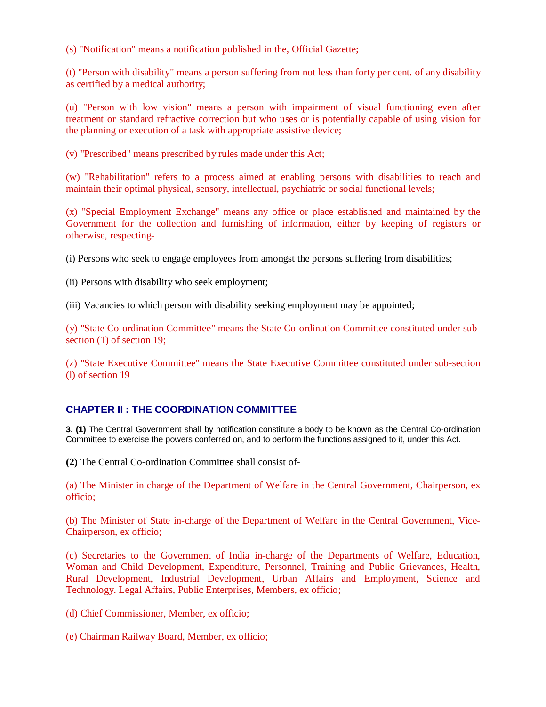(s) "Notification" means a notification published in the, Official Gazette;

(t) "Person with disability" means a person suffering from not less than forty per cent. of any disability as certified by a medical authority;

(u) "Person with low vision" means a person with impairment of visual functioning even after treatment or standard refractive correction but who uses or is potentially capable of using vision for the planning or execution of a task with appropriate assistive device;

(v) "Prescribed" means prescribed by rules made under this Act;

(w) "Rehabilitation" refers to a process aimed at enabling persons with disabilities to reach and maintain their optimal physical, sensory, intellectual, psychiatric or social functional levels;

(x) "Special Employment Exchange" means any office or place established and maintained by the Government for the collection and furnishing of information, either by keeping of registers or otherwise, respecting-

(i) Persons who seek to engage employees from amongst the persons suffering from disabilities;

(ii) Persons with disability who seek employment;

(iii) Vacancies to which person with disability seeking employment may be appointed;

(y) "State Co-ordination Committee" means the State Co-ordination Committee constituted under subsection (1) of section 19;

(z) "State Executive Committee" means the State Executive Committee constituted under sub-section (l) of section 19

## **CHAPTER II : THE COORDINATION COMMITTEE**

**3. (1)** The Central Government shall by notification constitute a body to be known as the Central Co-ordination Committee to exercise the powers conferred on, and to perform the functions assigned to it, under this Act.

**(2)** The Central Co-ordination Committee shall consist of-

(a) The Minister in charge of the Department of Welfare in the Central Government, Chairperson, ex officio;

(b) The Minister of State in-charge of the Department of Welfare in the Central Government, Vice-Chairperson, ex officio;

(c) Secretaries to the Government of India in-charge of the Departments of Welfare, Education, Woman and Child Development, Expenditure, Personnel, Training and Public Grievances, Health, Rural Development, Industrial Development, Urban Affairs and Employment, Science and Technology. Legal Affairs, Public Enterprises, Members, ex officio;

(d) Chief Commissioner, Member, ex officio;

(e) Chairman Railway Board, Member, ex officio;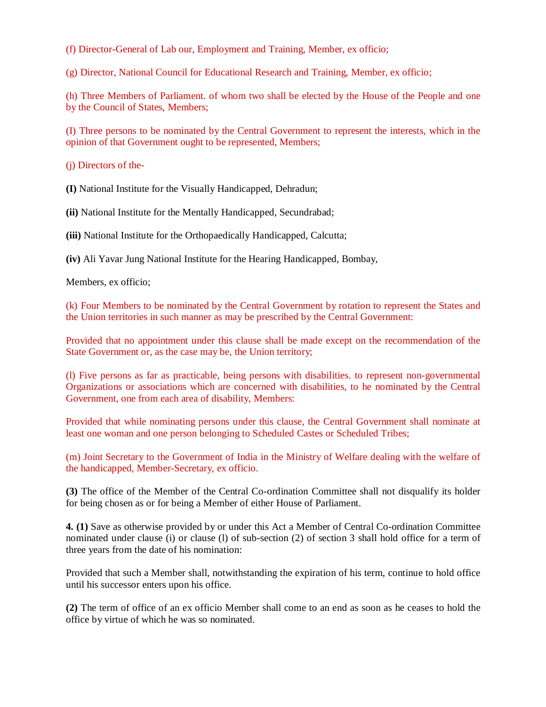(f) Director-General of Lab our, Employment and Training, Member, ex officio;

(g) Director, National Council for Educational Research and Training, Member, ex officio;

(h) Three Members of Parliament. of whom two shall be elected by the House of the People and one by the Council of States, Members;

(I) Three persons to be nominated by the Central Government to represent the interests, which in the opinion of that Government ought to be represented, Members;

(j) Directors of the-

**(I)** National Institute for the Visually Handicapped, Dehradun;

**(ii)** National Institute for the Mentally Handicapped, Secundrabad;

**(iii)** National Institute for the Orthopaedically Handicapped, Calcutta;

**(iv)** Ali Yavar Jung National Institute for the Hearing Handicapped, Bombay,

Members, ex officio;

(k) Four Members to be nominated by the Central Government by rotation to represent the States and the Union territories in such manner as may be prescribed by the Central Government:

Provided that no appointment under this clause shall be made except on the recommendation of the State Government or, as the case may be, the Union territory;

(l) Five persons as far as practicable, being persons with disabilities. to represent non-governmental Organizations or associations which are concerned with disabilities, to he nominated by the Central Government, one from each area of disability, Members:

Provided that while nominating persons under this clause, the Central Government shall nominate at least one woman and one person belonging to Scheduled Castes or Scheduled Tribes;

(m) Joint Secretary to the Government of India in the Ministry of Welfare dealing with the welfare of the handicapped, Member-Secretary, ex officio.

**(3)** The office of the Member of the Central Co-ordination Committee shall not disqualify its holder for being chosen as or for being a Member of either House of Parliament.

**4. (1)** Save as otherwise provided by or under this Act a Member of Central Co-ordination Committee nominated under clause (i) or clause (l) of sub-section (2) of section 3 shall hold office for a term of three years from the date of his nomination:

Provided that such a Member shall, notwithstanding the expiration of his term, continue to hold office until his successor enters upon his office.

**(2)** The term of office of an ex officio Member shall come to an end as soon as he ceases to hold the office by virtue of which he was so nominated.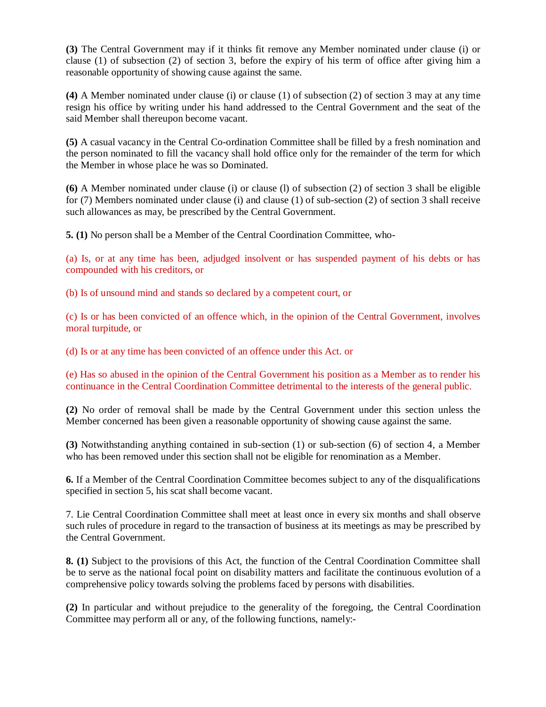**(3)** The Central Government may if it thinks fit remove any Member nominated under clause (i) or clause (1) of subsection (2) of section 3, before the expiry of his term of office after giving him a reasonable opportunity of showing cause against the same.

**(4)** A Member nominated under clause (i) or clause (1) of subsection (2) of section 3 may at any time resign his office by writing under his hand addressed to the Central Government and the seat of the said Member shall thereupon become vacant.

**(5)** A casual vacancy in the Central Co-ordination Committee shall be filled by a fresh nomination and the person nominated to fill the vacancy shall hold office only for the remainder of the term for which the Member in whose place he was so Dominated.

**(6)** A Member nominated under clause (i) or clause (l) of subsection (2) of section 3 shall be eligible for (7) Members nominated under clause (i) and clause (1) of sub-section (2) of section 3 shall receive such allowances as may, be prescribed by the Central Government.

**5. (1)** No person shall be a Member of the Central Coordination Committee, who-

(a) Is, or at any time has been, adjudged insolvent or has suspended payment of his debts or has compounded with his creditors, or

(b) Is of unsound mind and stands so declared by a competent court, or

(c) Is or has been convicted of an offence which, in the opinion of the Central Government, involves moral turpitude, or

(d) Is or at any time has been convicted of an offence under this Act. or

(e) Has so abused in the opinion of the Central Government his position as a Member as to render his continuance in the Central Coordination Committee detrimental to the interests of the general public.

**(2)** No order of removal shall be made by the Central Government under this section unless the Member concerned has been given a reasonable opportunity of showing cause against the same.

**(3)** Notwithstanding anything contained in sub-section (1) or sub-section (6) of section 4, a Member who has been removed under this section shall not be eligible for renomination as a Member.

**6.** If a Member of the Central Coordination Committee becomes subject to any of the disqualifications specified in section 5, his scat shall become vacant.

7. Lie Central Coordination Committee shall meet at least once in every six months and shall observe such rules of procedure in regard to the transaction of business at its meetings as may be prescribed by the Central Government.

**8. (1)** Subject to the provisions of this Act, the function of the Central Coordination Committee shall be to serve as the national focal point on disability matters and facilitate the continuous evolution of a comprehensive policy towards solving the problems faced by persons with disabilities.

**(2)** In particular and without prejudice to the generality of the foregoing, the Central Coordination Committee may perform all or any, of the following functions, namely:-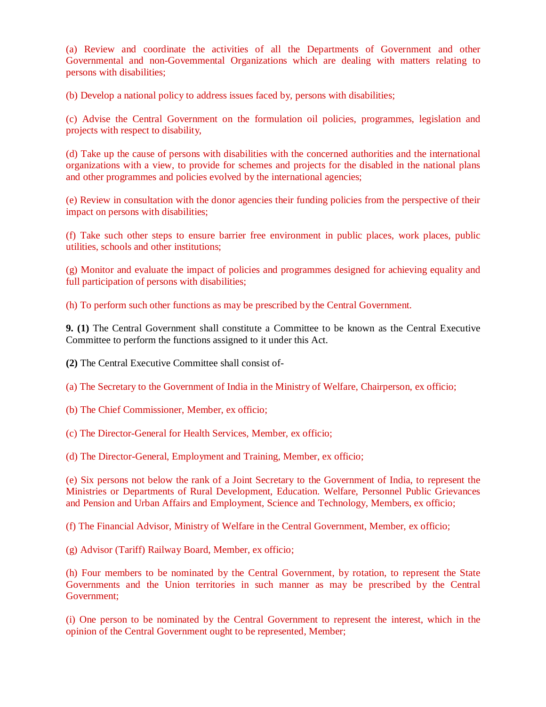(a) Review and coordinate the activities of all the Departments of Government and other Governmental and non-Govemmental Organizations which are dealing with matters relating to persons with disabilities;

(b) Develop a national policy to address issues faced by, persons with disabilities;

(c) Advise the Central Government on the formulation oil policies, programmes, legislation and projects with respect to disability,

(d) Take up the cause of persons with disabilities with the concerned authorities and the international organizations with a view, to provide for schemes and projects for the disabled in the national plans and other programmes and policies evolved by the international agencies;

(e) Review in consultation with the donor agencies their funding policies from the perspective of their impact on persons with disabilities;

(f) Take such other steps to ensure barrier free environment in public places, work places, public utilities, schools and other institutions;

(g) Monitor and evaluate the impact of policies and programmes designed for achieving equality and full participation of persons with disabilities;

(h) To perform such other functions as may be prescribed by the Central Government.

**9. (1)** The Central Government shall constitute a Committee to be known as the Central Executive Committee to perform the functions assigned to it under this Act.

**(2)** The Central Executive Committee shall consist of-

(a) The Secretary to the Government of India in the Ministry of Welfare, Chairperson, ex officio;

- (b) The Chief Commissioner, Member, ex officio;
- (c) The Director-General for Health Services, Member, ex officio;

(d) The Director-General, Employment and Training, Member, ex officio;

(e) Six persons not below the rank of a Joint Secretary to the Government of India, to represent the Ministries or Departments of Rural Development, Education. Welfare, Personnel Public Grievances and Pension and Urban Affairs and Employment, Science and Technology, Members, ex officio;

(f) The Financial Advisor, Ministry of Welfare in the Central Government, Member, ex officio;

(g) Advisor (Tariff) Railway Board, Member, ex officio;

(h) Four members to be nominated by the Central Government, by rotation, to represent the State Governments and the Union territories in such manner as may be prescribed by the Central Government;

(i) One person to be nominated by the Central Government to represent the interest, which in the opinion of the Central Government ought to be represented, Member;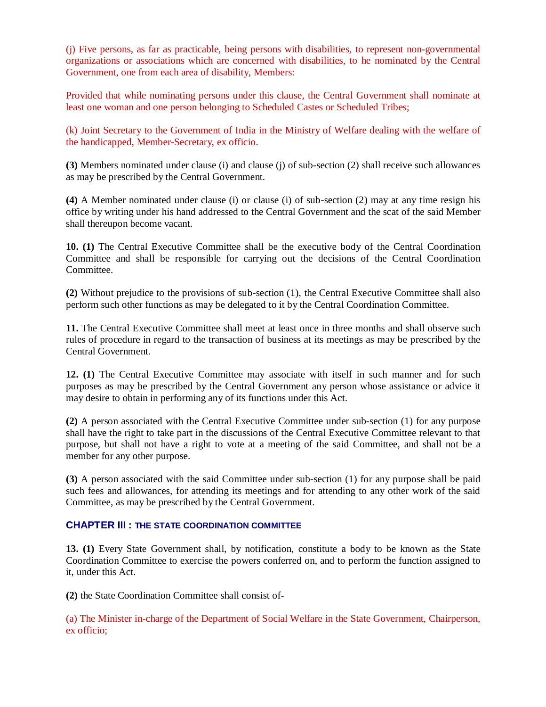(j) Five persons, as far as practicable, being persons with disabilities, to represent non-governmental organizations or associations which are concerned with disabilities, to he nominated by the Central Government, one from each area of disability, Members:

Provided that while nominating persons under this clause, the Central Government shall nominate at least one woman and one person belonging to Scheduled Castes or Scheduled Tribes;

(k) Joint Secretary to the Government of India in the Ministry of Welfare dealing with the welfare of the handicapped, Member-Secretary, ex officio.

**(3)** Members nominated under clause (i) and clause (j) of sub-section (2) shall receive such allowances as may be prescribed by the Central Government.

**(4)** A Member nominated under clause (i) or clause (i) of sub-section (2) may at any time resign his office by writing under his hand addressed to the Central Government and the scat of the said Member shall thereupon become vacant.

**10. (1)** The Central Executive Committee shall be the executive body of the Central Coordination Committee and shall be responsible for carrying out the decisions of the Central Coordination Committee.

**(2)** Without prejudice to the provisions of sub-section (1), the Central Executive Committee shall also perform such other functions as may be delegated to it by the Central Coordination Committee.

**11.** The Central Executive Committee shall meet at least once in three months and shall observe such rules of procedure in regard to the transaction of business at its meetings as may be prescribed by the Central Government.

**12. (1)** The Central Executive Committee may associate with itself in such manner and for such purposes as may be prescribed by the Central Government any person whose assistance or advice it may desire to obtain in performing any of its functions under this Act.

**(2)** A person associated with the Central Executive Committee under sub-section (1) for any purpose shall have the right to take part in the discussions of the Central Executive Committee relevant to that purpose, but shall not have a right to vote at a meeting of the said Committee, and shall not be a member for any other purpose.

**(3)** A person associated with the said Committee under sub-section (1) for any purpose shall be paid such fees and allowances, for attending its meetings and for attending to any other work of the said Committee, as may be prescribed by the Central Government.

## **CHAPTER III : THE STATE COORDINATION COMMITTEE**

**13. (1)** Every State Government shall, by notification, constitute a body to be known as the State Coordination Committee to exercise the powers conferred on, and to perform the function assigned to it, under this Act.

**(2)** the State Coordination Committee shall consist of-

(a) The Minister in-charge of the Department of Social Welfare in the State Government, Chairperson, ex officio;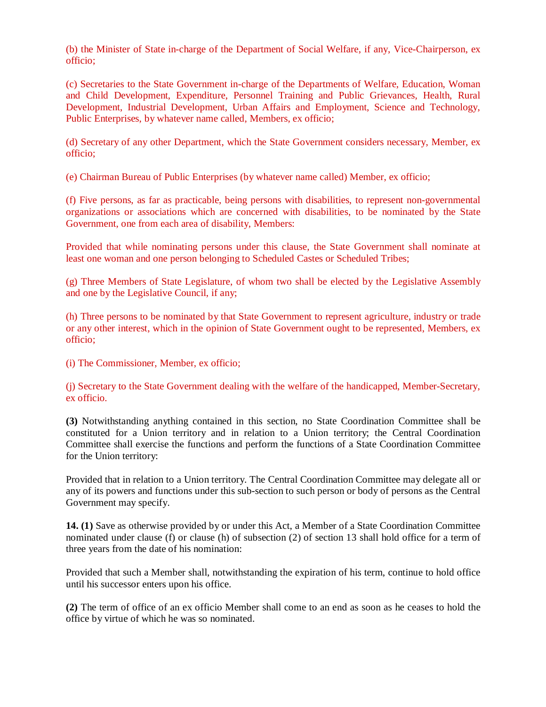(b) the Minister of State in-charge of the Department of Social Welfare, if any, Vice-Chairperson, ex officio;

(c) Secretaries to the State Government in-charge of the Departments of Welfare, Education, Woman and Child Development, Expenditure, Personnel Training and Public Grievances, Health, Rural Development, Industrial Development, Urban Affairs and Employment, Science and Technology, Public Enterprises, by whatever name called, Members, ex officio;

(d) Secretary of any other Department, which the State Government considers necessary, Member, ex officio;

(e) Chairman Bureau of Public Enterprises (by whatever name called) Member, ex officio;

(f) Five persons, as far as practicable, being persons with disabilities, to represent non-governmental organizations or associations which are concerned with disabilities, to be nominated by the State Government, one from each area of disability, Members:

Provided that while nominating persons under this clause, the State Government shall nominate at least one woman and one person belonging to Scheduled Castes or Scheduled Tribes;

(g) Three Members of State Legislature, of whom two shall be elected by the Legislative Assembly and one by the Legislative Council, if any;

(h) Three persons to be nominated by that State Government to represent agriculture, industry or trade or any other interest, which in the opinion of State Government ought to be represented, Members, ex officio;

(i) The Commissioner, Member, ex officio;

(j) Secretary to the State Government dealing with the welfare of the handicapped, Member-Secretary, ex officio.

**(3)** Notwithstanding anything contained in this section, no State Coordination Committee shall be constituted for a Union territory and in relation to a Union territory; the Central Coordination Committee shall exercise the functions and perform the functions of a State Coordination Committee for the Union territory:

Provided that in relation to a Union territory. The Central Coordination Committee may delegate all or any of its powers and functions under this sub-section to such person or body of persons as the Central Government may specify.

**14. (1)** Save as otherwise provided by or under this Act, a Member of a State Coordination Committee nominated under clause (f) or clause (h) of subsection (2) of section 13 shall hold office for a term of three years from the date of his nomination:

Provided that such a Member shall, notwithstanding the expiration of his term, continue to hold office until his successor enters upon his office.

**(2)** The term of office of an ex officio Member shall come to an end as soon as he ceases to hold the office by virtue of which he was so nominated.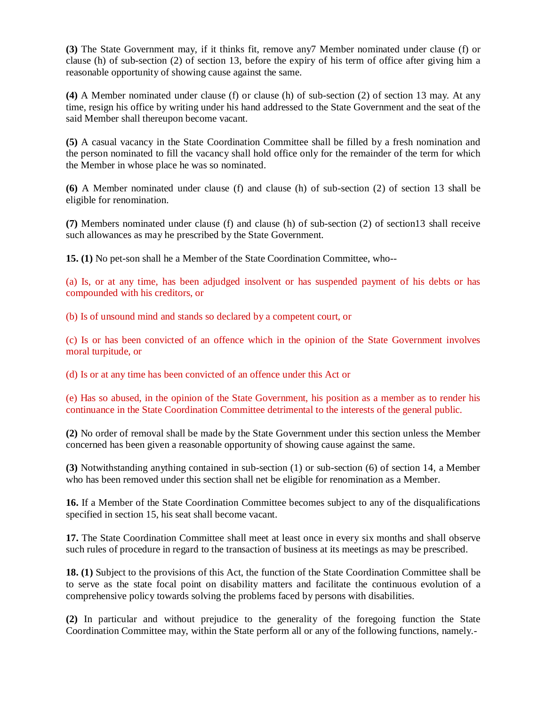**(3)** The State Government may, if it thinks fit, remove any7 Member nominated under clause (f) or clause (h) of sub-section (2) of section 13, before the expiry of his term of office after giving him a reasonable opportunity of showing cause against the same.

**(4)** A Member nominated under clause (f) or clause (h) of sub-section (2) of section 13 may. At any time, resign his office by writing under his hand addressed to the State Government and the seat of the said Member shall thereupon become vacant.

**(5)** A casual vacancy in the State Coordination Committee shall be filled by a fresh nomination and the person nominated to fill the vacancy shall hold office only for the remainder of the term for which the Member in whose place he was so nominated.

**(6)** A Member nominated under clause (f) and clause (h) of sub-section (2) of section 13 shall be eligible for renomination.

**(7)** Members nominated under clause (f) and clause (h) of sub-section (2) of section13 shall receive such allowances as may he prescribed by the State Government.

**15. (1)** No pet-son shall he a Member of the State Coordination Committee, who--

(a) Is, or at any time, has been adjudged insolvent or has suspended payment of his debts or has compounded with his creditors, or

(b) Is of unsound mind and stands so declared by a competent court, or

(c) Is or has been convicted of an offence which in the opinion of the State Government involves moral turpitude, or

(d) Is or at any time has been convicted of an offence under this Act or

(e) Has so abused, in the opinion of the State Government, his position as a member as to render his continuance in the State Coordination Committee detrimental to the interests of the general public.

**(2)** No order of removal shall be made by the State Government under this section unless the Member concerned has been given a reasonable opportunity of showing cause against the same.

**(3)** Notwithstanding anything contained in sub-section (1) or sub-section (6) of section 14, a Member who has been removed under this section shall net be eligible for renomination as a Member.

**16.** If a Member of the State Coordination Committee becomes subject to any of the disqualifications specified in section 15, his seat shall become vacant.

**17.** The State Coordination Committee shall meet at least once in every six months and shall observe such rules of procedure in regard to the transaction of business at its meetings as may be prescribed.

**18. (1)** Subject to the provisions of this Act, the function of the State Coordination Committee shall be to serve as the state focal point on disability matters and facilitate the continuous evolution of a comprehensive policy towards solving the problems faced by persons with disabilities.

**(2)** In particular and without prejudice to the generality of the foregoing function the State Coordination Committee may, within the State perform all or any of the following functions, namely.-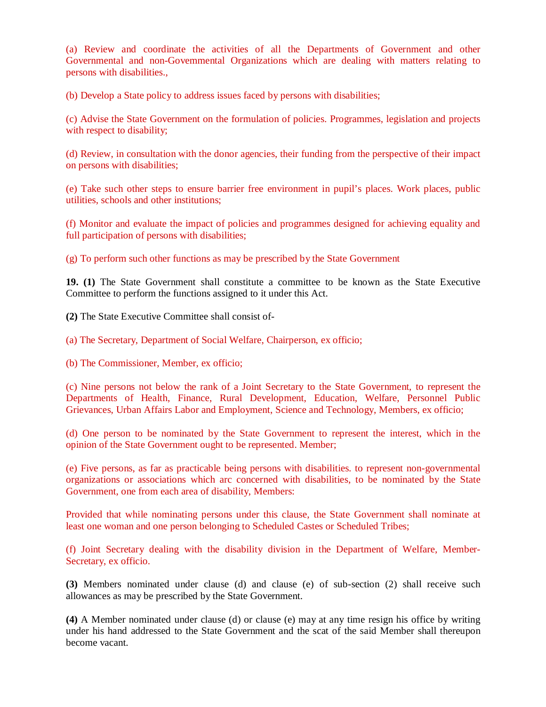(a) Review and coordinate the activities of all the Departments of Government and other Governmental and non-Govemmental Organizations which are dealing with matters relating to persons with disabilities.,

(b) Develop a State policy to address issues faced by persons with disabilities;

(c) Advise the State Government on the formulation of policies. Programmes, legislation and projects with respect to disability;

(d) Review, in consultation with the donor agencies, their funding from the perspective of their impact on persons with disabilities;

(e) Take such other steps to ensure barrier free environment in pupil's places. Work places, public utilities, schools and other institutions;

(f) Monitor and evaluate the impact of policies and programmes designed for achieving equality and full participation of persons with disabilities;

(g) To perform such other functions as may be prescribed by the State Government

**19. (1)** The State Government shall constitute a committee to be known as the State Executive Committee to perform the functions assigned to it under this Act.

**(2)** The State Executive Committee shall consist of-

(a) The Secretary, Department of Social Welfare, Chairperson, ex officio;

(b) The Commissioner, Member, ex officio;

(c) Nine persons not below the rank of a Joint Secretary to the State Government, to represent the Departments of Health, Finance, Rural Development, Education, Welfare, Personnel Public Grievances, Urban Affairs Labor and Employment, Science and Technology, Members, ex officio;

(d) One person to be nominated by the State Government to represent the interest, which in the opinion of the State Government ought to be represented. Member;

(e) Five persons, as far as practicable being persons with disabilities. to represent non-governmental organizations or associations which arc concerned with disabilities, to be nominated by the State Government, one from each area of disability, Members:

Provided that while nominating persons under this clause, the State Government shall nominate at least one woman and one person belonging to Scheduled Castes or Scheduled Tribes;

(f) Joint Secretary dealing with the disability division in the Department of Welfare, Member-Secretary, ex officio.

**(3)** Members nominated under clause (d) and clause (e) of sub-section (2) shall receive such allowances as may be prescribed by the State Government.

**(4)** A Member nominated under clause (d) or clause (e) may at any time resign his office by writing under his hand addressed to the State Government and the scat of the said Member shall thereupon become vacant.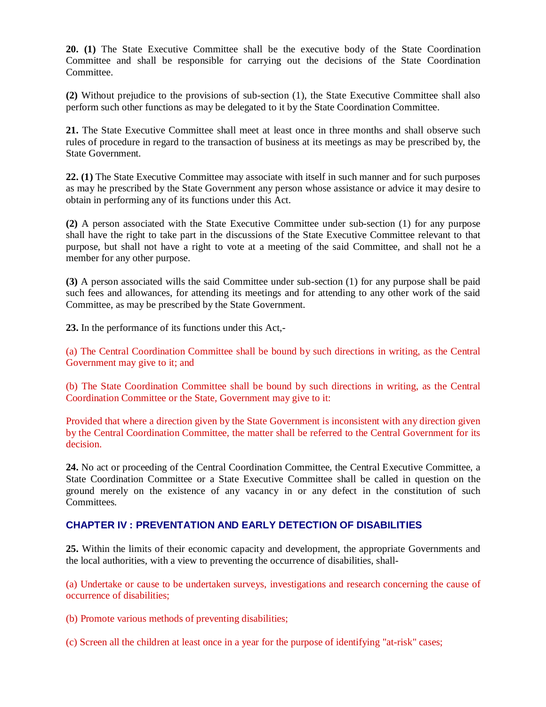**20. (1)** The State Executive Committee shall be the executive body of the State Coordination Committee and shall be responsible for carrying out the decisions of the State Coordination Committee.

**(2)** Without prejudice to the provisions of sub-section (1), the State Executive Committee shall also perform such other functions as may be delegated to it by the State Coordination Committee.

**21.** The State Executive Committee shall meet at least once in three months and shall observe such rules of procedure in regard to the transaction of business at its meetings as may be prescribed by, the State Government.

**22. (1)** The State Executive Committee may associate with itself in such manner and for such purposes as may he prescribed by the State Government any person whose assistance or advice it may desire to obtain in performing any of its functions under this Act.

**(2)** A person associated with the State Executive Committee under sub-section (1) for any purpose shall have the right to take part in the discussions of the State Executive Committee relevant to that purpose, but shall not have a right to vote at a meeting of the said Committee, and shall not he a member for any other purpose.

**(3)** A person associated wills the said Committee under sub-section (1) for any purpose shall be paid such fees and allowances, for attending its meetings and for attending to any other work of the said Committee, as may be prescribed by the State Government.

**23.** In the performance of its functions under this Act,-

(a) The Central Coordination Committee shall be bound by such directions in writing, as the Central Government may give to it; and

(b) The State Coordination Committee shall be bound by such directions in writing, as the Central Coordination Committee or the State, Government may give to it:

Provided that where a direction given by the State Government is inconsistent with any direction given by the Central Coordination Committee, the matter shall be referred to the Central Government for its decision.

**24.** No act or proceeding of the Central Coordination Committee, the Central Executive Committee, a State Coordination Committee or a State Executive Committee shall be called in question on the ground merely on the existence of any vacancy in or any defect in the constitution of such Committees.

## **CHAPTER IV : PREVENTATION AND EARLY DETECTION OF DISABILITIES**

**25.** Within the limits of their economic capacity and development, the appropriate Governments and the local authorities, with a view to preventing the occurrence of disabilities, shall-

(a) Undertake or cause to be undertaken surveys, investigations and research concerning the cause of occurrence of disabilities;

(b) Promote various methods of preventing disabilities;

(c) Screen all the children at least once in a year for the purpose of identifying "at-risk" cases;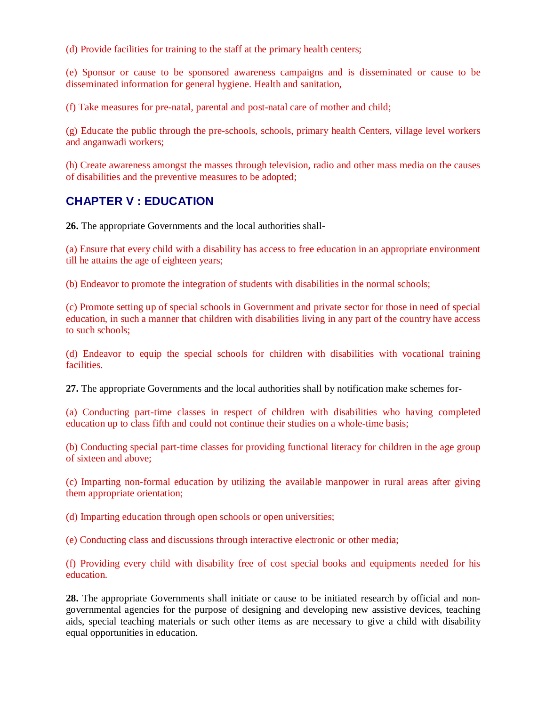(d) Provide facilities for training to the staff at the primary health centers;

(e) Sponsor or cause to be sponsored awareness campaigns and is disseminated or cause to be disseminated information for general hygiene. Health and sanitation,

(f) Take measures for pre-natal, parental and post-natal care of mother and child;

(g) Educate the public through the pre-schools, schools, primary health Centers, village level workers and anganwadi workers;

(h) Create awareness amongst the masses through television, radio and other mass media on the causes of disabilities and the preventive measures to be adopted;

# **CHAPTER V : EDUCATION**

**26.** The appropriate Governments and the local authorities shall-

(a) Ensure that every child with a disability has access to free education in an appropriate environment till he attains the age of eighteen years;

(b) Endeavor to promote the integration of students with disabilities in the normal schools;

(c) Promote setting up of special schools in Government and private sector for those in need of special education, in such a manner that children with disabilities living in any part of the country have access to such schools;

(d) Endeavor to equip the special schools for children with disabilities with vocational training facilities.

**27.** The appropriate Governments and the local authorities shall by notification make schemes for-

(a) Conducting part-time classes in respect of children with disabilities who having completed education up to class fifth and could not continue their studies on a whole-time basis;

(b) Conducting special part-time classes for providing functional literacy for children in the age group of sixteen and above;

(c) Imparting non-formal education by utilizing the available manpower in rural areas after giving them appropriate orientation;

(d) Imparting education through open schools or open universities;

(e) Conducting class and discussions through interactive electronic or other media;

(f) Providing every child with disability free of cost special books and equipments needed for his education.

**28.** The appropriate Governments shall initiate or cause to be initiated research by official and nongovernmental agencies for the purpose of designing and developing new assistive devices, teaching aids, special teaching materials or such other items as are necessary to give a child with disability equal opportunities in education.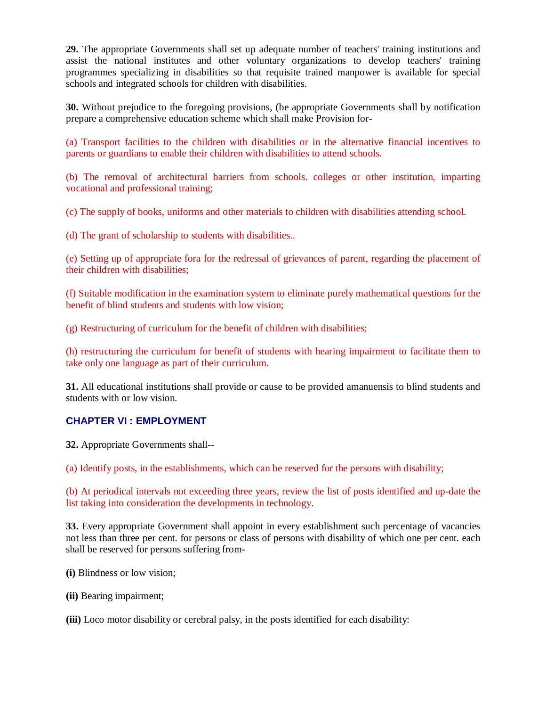**29.** The appropriate Governments shall set up adequate number of teachers' training institutions and assist the national institutes and other voluntary organizations to develop teachers' training programmes specializing in disabilities so that requisite trained manpower is available for special schools and integrated schools for children with disabilities.

**30.** Without prejudice to the foregoing provisions, (be appropriate Governments shall by notification prepare a comprehensive education scheme which shall make Provision for-

(a) Transport facilities to the children with disabilities or in the alternative financial incentives to parents or guardians to enable their children with disabilities to attend schools.

(b) The removal of architectural barriers from schools. colleges or other institution, imparting vocational and professional training;

(c) The supply of books, uniforms and other materials to children with disabilities attending school.

(d) The grant of scholarship to students with disabilities..

(e) Setting up of appropriate fora for the redressal of grievances of parent, regarding the placement of their children with disabilities;

(f) Suitable modification in the examination system to eliminate purely mathematical questions for the benefit of blind students and students with low vision;

(g) Restructuring of curriculum for the benefit of children with disabilities;

(h) restructuring the curriculum for benefit of students with hearing impairment to facilitate them to take only one language as part of their curriculum.

**31.** All educational institutions shall provide or cause to be provided amanuensis to blind students and students with or low vision.

## **CHAPTER VI : EMPLOYMENT**

**32.** Appropriate Governments shall--

(a) Identify posts, in the establishments, which can be reserved for the persons with disability;

(b) At periodical intervals not exceeding three years, review the list of posts identified and up-date the list taking into consideration the developments in technology.

**33.** Every appropriate Government shall appoint in every establishment such percentage of vacancies not less than three per cent. for persons or class of persons with disability of which one per cent. each shall be reserved for persons suffering from-

**(i)** Blindness or low vision;

**(ii)** Bearing impairment;

**(iii)** Loco motor disability or cerebral palsy, in the posts identified for each disability: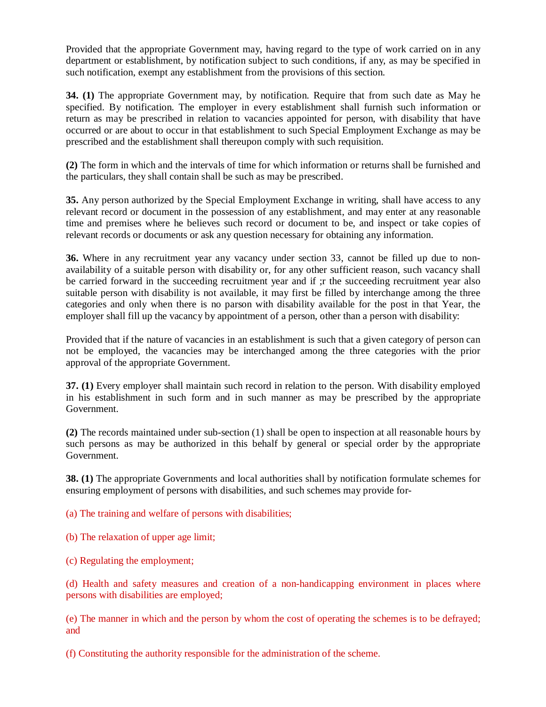Provided that the appropriate Government may, having regard to the type of work carried on in any department or establishment, by notification subject to such conditions, if any, as may be specified in such notification, exempt any establishment from the provisions of this section.

**34. (1)** The appropriate Government may, by notification. Require that from such date as May he specified. By notification. The employer in every establishment shall furnish such information or return as may be prescribed in relation to vacancies appointed for person, with disability that have occurred or are about to occur in that establishment to such Special Employment Exchange as may be prescribed and the establishment shall thereupon comply with such requisition.

**(2)** The form in which and the intervals of time for which information or returns shall be furnished and the particulars, they shall contain shall be such as may be prescribed.

**35.** Any person authorized by the Special Employment Exchange in writing, shall have access to any relevant record or document in the possession of any establishment, and may enter at any reasonable time and premises where he believes such record or document to be, and inspect or take copies of relevant records or documents or ask any question necessary for obtaining any information.

**36.** Where in any recruitment year any vacancy under section 33, cannot be filled up due to nonavailability of a suitable person with disability or, for any other sufficient reason, such vacancy shall be carried forward in the succeeding recruitment year and if ;r the succeeding recruitment year also suitable person with disability is not available, it may first be filled by interchange among the three categories and only when there is no parson with disability available for the post in that Year, the employer shall fill up the vacancy by appointment of a person, other than a person with disability:

Provided that if the nature of vacancies in an establishment is such that a given category of person can not be employed, the vacancies may be interchanged among the three categories with the prior approval of the appropriate Government.

**37. (1)** Every employer shall maintain such record in relation to the person. With disability employed in his establishment in such form and in such manner as may be prescribed by the appropriate Government.

**(2)** The records maintained under sub-section (1) shall be open to inspection at all reasonable hours by such persons as may be authorized in this behalf by general or special order by the appropriate Government.

**38. (1)** The appropriate Governments and local authorities shall by notification formulate schemes for ensuring employment of persons with disabilities, and such schemes may provide for-

(a) The training and welfare of persons with disabilities;

(b) The relaxation of upper age limit;

(c) Regulating the employment;

(d) Health and safety measures and creation of a non-handicapping environment in places where persons with disabilities are employed;

(e) The manner in which and the person by whom the cost of operating the schemes is to be defrayed; and

(f) Constituting the authority responsible for the administration of the scheme.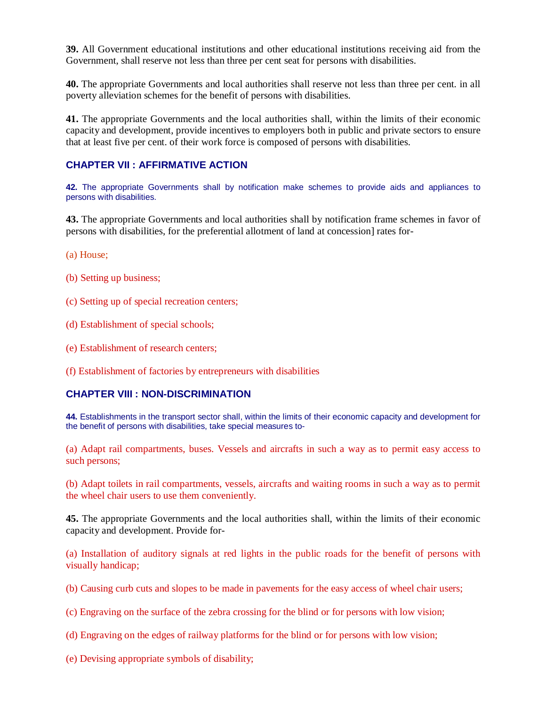**39.** All Government educational institutions and other educational institutions receiving aid from the Government, shall reserve not less than three per cent seat for persons with disabilities.

**40.** The appropriate Governments and local authorities shall reserve not less than three per cent. in all poverty alleviation schemes for the benefit of persons with disabilities.

**41.** The appropriate Governments and the local authorities shall, within the limits of their economic capacity and development, provide incentives to employers both in public and private sectors to ensure that at least five per cent. of their work force is composed of persons with disabilities.

#### **CHAPTER VII : AFFIRMATIVE ACTION**

**42.** The appropriate Governments shall by notification make schemes to provide aids and appliances to persons with disabilities.

**43.** The appropriate Governments and local authorities shall by notification frame schemes in favor of persons with disabilities, for the preferential allotment of land at concession] rates for-

(a) House;

- (b) Setting up business;
- (c) Setting up of special recreation centers;
- (d) Establishment of special schools;
- (e) Establishment of research centers;
- (f) Establishment of factories by entrepreneurs with disabilities

#### **CHAPTER VIII : NON-DISCRIMINATION**

**44.** Establishments in the transport sector shall, within the limits of their economic capacity and development for the benefit of persons with disabilities, take special measures to-

(a) Adapt rail compartments, buses. Vessels and aircrafts in such a way as to permit easy access to such persons;

(b) Adapt toilets in rail compartments, vessels, aircrafts and waiting rooms in such a way as to permit the wheel chair users to use them conveniently.

**45.** The appropriate Governments and the local authorities shall, within the limits of their economic capacity and development. Provide for-

(a) Installation of auditory signals at red lights in the public roads for the benefit of persons with visually handicap;

- (b) Causing curb cuts and slopes to be made in pavements for the easy access of wheel chair users;
- (c) Engraving on the surface of the zebra crossing for the blind or for persons with low vision;
- (d) Engraving on the edges of railway platforms for the blind or for persons with low vision;
- (e) Devising appropriate symbols of disability;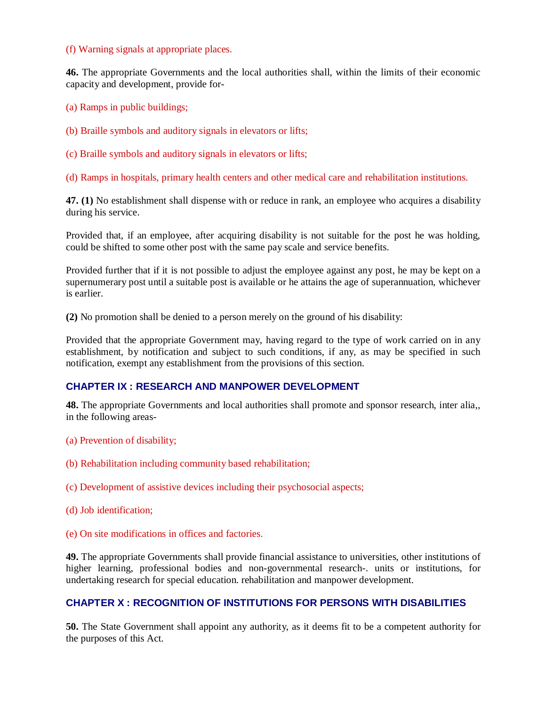#### (f) Warning signals at appropriate places.

**46.** The appropriate Governments and the local authorities shall, within the limits of their economic capacity and development, provide for-

(a) Ramps in public buildings;

(b) Braille symbols and auditory signals in elevators or lifts;

(c) Braille symbols and auditory signals in elevators or lifts;

(d) Ramps in hospitals, primary health centers and other medical care and rehabilitation institutions.

**47. (1)** No establishment shall dispense with or reduce in rank, an employee who acquires a disability during his service.

Provided that, if an employee, after acquiring disability is not suitable for the post he was holding, could be shifted to some other post with the same pay scale and service benefits.

Provided further that if it is not possible to adjust the employee against any post, he may be kept on a supernumerary post until a suitable post is available or he attains the age of superannuation, whichever is earlier.

**(2)** No promotion shall be denied to a person merely on the ground of his disability:

Provided that the appropriate Government may, having regard to the type of work carried on in any establishment, by notification and subject to such conditions, if any, as may be specified in such notification, exempt any establishment from the provisions of this section.

## **CHAPTER IX : RESEARCH AND MANPOWER DEVELOPMENT**

**48.** The appropriate Governments and local authorities shall promote and sponsor research, inter alia,, in the following areas-

- (a) Prevention of disability;
- (b) Rehabilitation including community based rehabilitation;
- (c) Development of assistive devices including their psychosocial aspects;
- (d) Job identification;
- (e) On site modifications in offices and factories.

**49.** The appropriate Governments shall provide financial assistance to universities, other institutions of higher learning, professional bodies and non-governmental research-. units or institutions, for undertaking research for special education. rehabilitation and manpower development.

#### **CHAPTER X : RECOGNITION OF INSTITUTIONS FOR PERSONS WITH DISABILITIES**

**50.** The State Government shall appoint any authority, as it deems fit to be a competent authority for the purposes of this Act.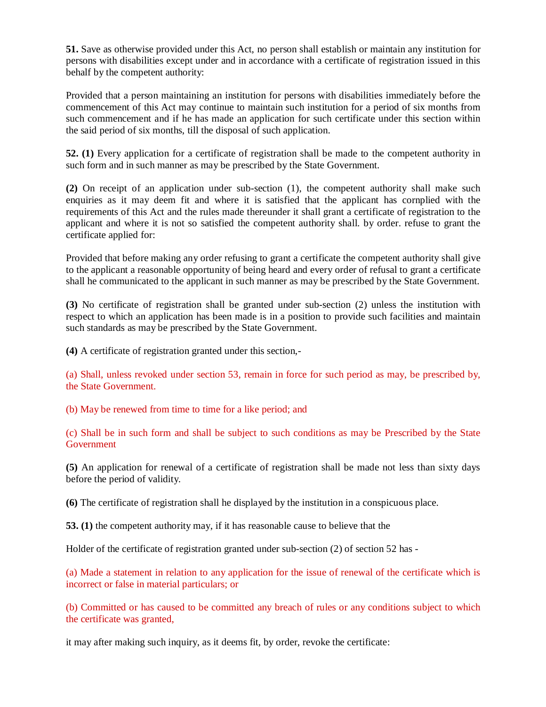**51.** Save as otherwise provided under this Act, no person shall establish or maintain any institution for persons with disabilities except under and in accordance with a certificate of registration issued in this behalf by the competent authority:

Provided that a person maintaining an institution for persons with disabilities immediately before the commencement of this Act may continue to maintain such institution for a period of six months from such commencement and if he has made an application for such certificate under this section within the said period of six months, till the disposal of such application.

**52. (1)** Every application for a certificate of registration shall be made to the competent authority in such form and in such manner as may be prescribed by the State Government.

**(2)** On receipt of an application under sub-section (1), the competent authority shall make such enquiries as it may deem fit and where it is satisfied that the applicant has cornplied with the requirements of this Act and the rules made thereunder it shall grant a certificate of registration to the applicant and where it is not so satisfied the competent authority shall. by order. refuse to grant the certificate applied for:

Provided that before making any order refusing to grant a certificate the competent authority shall give to the applicant a reasonable opportunity of being heard and every order of refusal to grant a certificate shall he communicated to the applicant in such manner as may be prescribed by the State Government.

**(3)** No certificate of registration shall be granted under sub-section (2) unless the institution with respect to which an application has been made is in a position to provide such facilities and maintain such standards as may be prescribed by the State Government.

**(4)** A certificate of registration granted under this section,-

(a) Shall, unless revoked under section 53, remain in force for such period as may, be prescribed by, the State Government.

(b) May be renewed from time to time for a like period; and

(c) Shall be in such form and shall be subject to such conditions as may be Prescribed by the State Government

**(5)** An application for renewal of a certificate of registration shall be made not less than sixty days before the period of validity.

**(6)** The certificate of registration shall he displayed by the institution in a conspicuous place.

**53. (1)** the competent authority may, if it has reasonable cause to believe that the

Holder of the certificate of registration granted under sub-section (2) of section 52 has -

(a) Made a statement in relation to any application for the issue of renewal of the certificate which is incorrect or false in material particulars; or

(b) Committed or has caused to be committed any breach of rules or any conditions subject to which the certificate was granted,

it may after making such inquiry, as it deems fit, by order, revoke the certificate: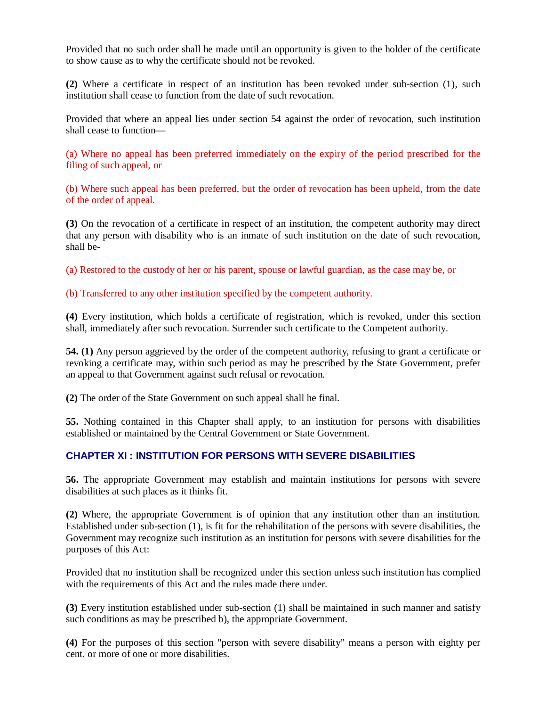Provided that no such order shall he made until an opportunity is given to the holder of the certificate to show cause as to why the certificate should not be revoked.

**(2)** Where a certificate in respect of an institution has been revoked under sub-section (1), such institution shall cease to function from the date of such revocation.

Provided that where an appeal lies under section 54 against the order of revocation, such institution shall cease to function—

(a) Where no appeal has been preferred immediately on the expiry of the period prescribed for the filing of such appeal, or

(b) Where such appeal has been preferred, but the order of revocation has been upheld, from the date of the order of appeal.

**(3)** On the revocation of a certificate in respect of an institution, the competent authority may direct that any person with disability who is an inmate of such institution on the date of such revocation, shall be-

(a) Restored to the custody of her or his parent, spouse or lawful guardian, as the case may be, or

(b) Transferred to any other institution specified by the competent authority.

**(4)** Every institution, which holds a certificate of registration, which is revoked, under this section shall, immediately after such revocation. Surrender such certificate to the Competent authority.

**54. (1)** Any person aggrieved by the order of the competent authority, refusing to grant a certificate or revoking a certificate may, within such period as may he prescribed by the State Government, prefer an appeal to that Government against such refusal or revocation.

**(2)** The order of the State Government on such appeal shall he final.

**55.** Nothing contained in this Chapter shall apply, to an institution for persons with disabilities established or maintained by the Central Government or State Government.

## **CHAPTER XI : INSTITUTION FOR PERSONS WITH SEVERE DISABILITIES**

**56.** The appropriate Government may establish and maintain institutions for persons with severe disabilities at such places as it thinks fit.

**(2)** Where, the appropriate Government is of opinion that any institution other than an institution. Established under sub-section (1), is fit for the rehabilitation of the persons with severe disabilities, the Government may recognize such institution as an institution for persons with severe disabilities for the purposes of this Act:

Provided that no institution shall be recognized under this section unless such institution has complied with the requirements of this Act and the rules made there under.

**(3)** Every institution established under sub-section (1) shall be maintained in such manner and satisfy such conditions as may be prescribed b), the appropriate Government.

**(4)** For the purposes of this section "person with severe disability" means a person with eighty per cent. or more of one or more disabilities.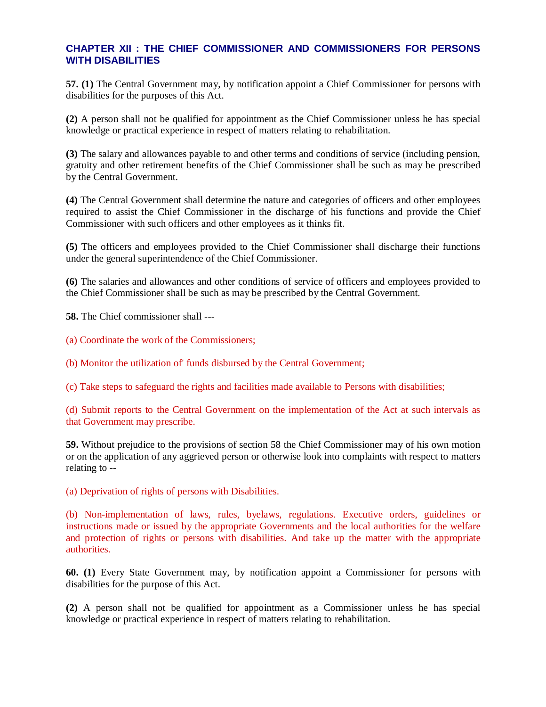## **CHAPTER XII : THE CHIEF COMMISSIONER AND COMMISSIONERS FOR PERSONS WITH DISABILITIES**

**57. (1)** The Central Government may, by notification appoint a Chief Commissioner for persons with disabilities for the purposes of this Act.

**(2)** A person shall not be qualified for appointment as the Chief Commissioner unless he has special knowledge or practical experience in respect of matters relating to rehabilitation.

**(3)** The salary and allowances payable to and other terms and conditions of service (including pension, gratuity and other retirement benefits of the Chief Commissioner shall be such as may be prescribed by the Central Government.

**(4)** The Central Government shall determine the nature and categories of officers and other employees required to assist the Chief Commissioner in the discharge of his functions and provide the Chief Commissioner with such officers and other employees as it thinks fit.

**(5)** The officers and employees provided to the Chief Commissioner shall discharge their functions under the general superintendence of the Chief Commissioner.

**(6)** The salaries and allowances and other conditions of service of officers and employees provided to the Chief Commissioner shall be such as may be prescribed by the Central Government.

**58.** The Chief commissioner shall ---

(a) Coordinate the work of the Commissioners;

(b) Monitor the utilization of' funds disbursed by the Central Government;

(c) Take steps to safeguard the rights and facilities made available to Persons with disabilities;

(d) Submit reports to the Central Government on the implementation of the Act at such intervals as that Government may prescribe.

**59.** Without prejudice to the provisions of section 58 the Chief Commissioner may of his own motion or on the application of any aggrieved person or otherwise look into complaints with respect to matters relating to --

(a) Deprivation of rights of persons with Disabilities.

(b) Non-implementation of laws, rules, byelaws, regulations. Executive orders, guidelines or instructions made or issued by the appropriate Governments and the local authorities for the welfare and protection of rights or persons with disabilities. And take up the matter with the appropriate authorities.

**60. (1)** Every State Government may, by notification appoint a Commissioner for persons with disabilities for the purpose of this Act.

**(2)** A person shall not be qualified for appointment as a Commissioner unless he has special knowledge or practical experience in respect of matters relating to rehabilitation.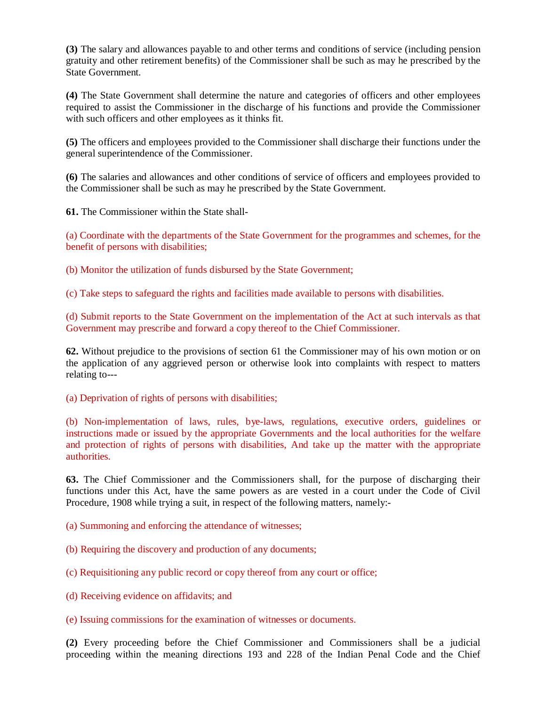**(3)** The salary and allowances payable to and other terms and conditions of service (including pension gratuity and other retirement benefits) of the Commissioner shall be such as may he prescribed by the State Government.

**(4)** The State Government shall determine the nature and categories of officers and other employees required to assist the Commissioner in the discharge of his functions and provide the Commissioner with such officers and other employees as it thinks fit.

**(5)** The officers and employees provided to the Commissioner shall discharge their functions under the general superintendence of the Commissioner.

**(6)** The salaries and allowances and other conditions of service of officers and employees provided to the Commissioner shall be such as may he prescribed by the State Government.

**61.** The Commissioner within the State shall-

(a) Coordinate with the departments of the State Government for the programmes and schemes, for the benefit of persons with disabilities;

(b) Monitor the utilization of funds disbursed by the State Government;

(c) Take steps to safeguard the rights and facilities made available to persons with disabilities.

(d) Submit reports to the State Government on the implementation of the Act at such intervals as that Government may prescribe and forward a copy thereof to the Chief Commissioner.

**62.** Without prejudice to the provisions of section 61 the Commissioner may of his own motion or on the application of any aggrieved person or otherwise look into complaints with respect to matters relating to---

(a) Deprivation of rights of persons with disabilities;

(b) Non-implementation of laws, rules, bye-laws, regulations, executive orders, guidelines or instructions made or issued by the appropriate Governments and the local authorities for the welfare and protection of rights of persons with disabilities, And take up the matter with the appropriate authorities.

**63.** The Chief Commissioner and the Commissioners shall, for the purpose of discharging their functions under this Act, have the same powers as are vested in a court under the Code of Civil Procedure, 1908 while trying a suit, in respect of the following matters, namely:-

(a) Summoning and enforcing the attendance of witnesses;

- (b) Requiring the discovery and production of any documents;
- (c) Requisitioning any public record or copy thereof from any court or office;
- (d) Receiving evidence on affidavits; and

(e) Issuing commissions for the examination of witnesses or documents.

**(2)** Every proceeding before the Chief Commissioner and Commissioners shall be a judicial proceeding within the meaning directions 193 and 228 of the Indian Penal Code and the Chief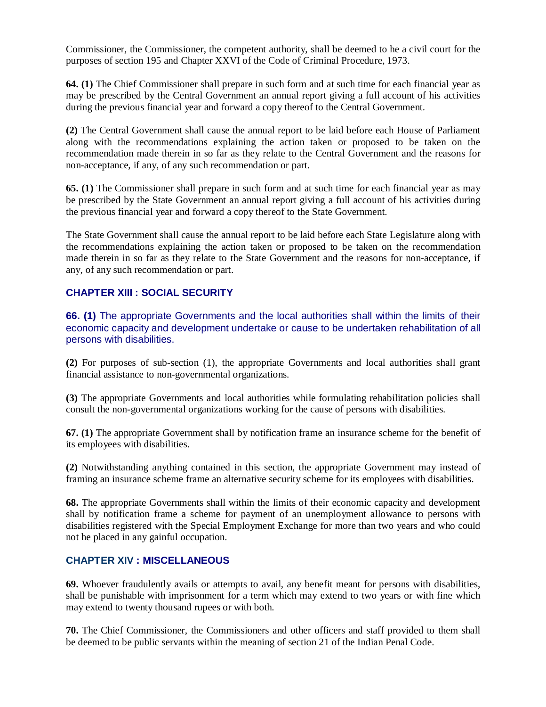Commissioner, the Commissioner, the competent authority, shall be deemed to he a civil court for the purposes of section 195 and Chapter XXVI of the Code of Criminal Procedure, 1973.

**64. (1)** The Chief Commissioner shall prepare in such form and at such time for each financial year as may be prescribed by the Central Government an annual report giving a full account of his activities during the previous financial year and forward a copy thereof to the Central Government.

**(2)** The Central Government shall cause the annual report to be laid before each House of Parliament along with the recommendations explaining the action taken or proposed to be taken on the recommendation made therein in so far as they relate to the Central Government and the reasons for non-acceptance, if any, of any such recommendation or part.

**65. (1)** The Commissioner shall prepare in such form and at such time for each financial year as may be prescribed by the State Government an annual report giving a full account of his activities during the previous financial year and forward a copy thereof to the State Government.

The State Government shall cause the annual report to be laid before each State Legislature along with the recommendations explaining the action taken or proposed to be taken on the recommendation made therein in so far as they relate to the State Government and the reasons for non-acceptance, if any, of any such recommendation or part.

## **CHAPTER XIII : SOCIAL SECURITY**

**66. (1)** The appropriate Governments and the local authorities shall within the limits of their economic capacity and development undertake or cause to be undertaken rehabilitation of all persons with disabilities.

**(2)** For purposes of sub-section (1), the appropriate Governments and local authorities shall grant financial assistance to non-governmental organizations.

**(3)** The appropriate Governments and local authorities while formulating rehabilitation policies shall consult the non-governmental organizations working for the cause of persons with disabilities.

**67. (1)** The appropriate Government shall by notification frame an insurance scheme for the benefit of its employees with disabilities.

**(2)** Notwithstanding anything contained in this section, the appropriate Government may instead of framing an insurance scheme frame an alternative security scheme for its employees with disabilities.

**68.** The appropriate Governments shall within the limits of their economic capacity and development shall by notification frame a scheme for payment of an unemployment allowance to persons with disabilities registered with the Special Employment Exchange for more than two years and who could not he placed in any gainful occupation.

## **CHAPTER XIV : MISCELLANEOUS**

**69.** Whoever fraudulently avails or attempts to avail, any benefit meant for persons with disabilities, shall be punishable with imprisonment for a term which may extend to two years or with fine which may extend to twenty thousand rupees or with both.

**70.** The Chief Commissioner, the Commissioners and other officers and staff provided to them shall be deemed to be public servants within the meaning of section 21 of the Indian Penal Code.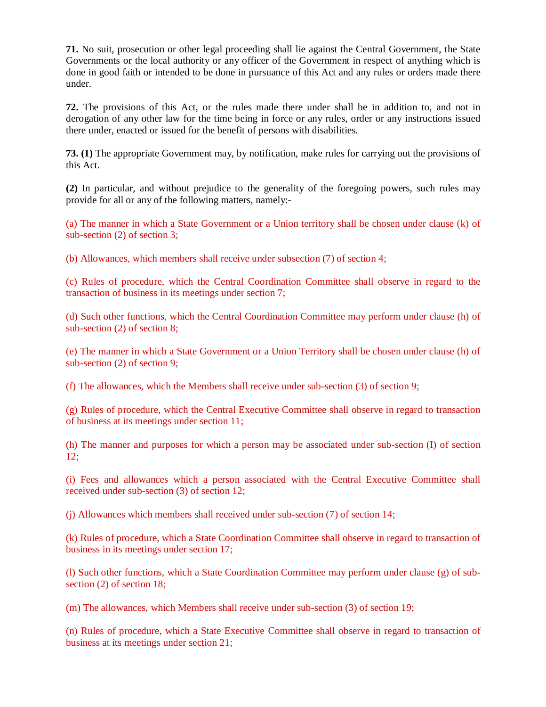**71.** No suit, prosecution or other legal proceeding shall lie against the Central Government, the State Governments or the local authority or any officer of the Government in respect of anything which is done in good faith or intended to be done in pursuance of this Act and any rules or orders made there under.

**72.** The provisions of this Act, or the rules made there under shall be in addition to, and not in derogation of any other law for the time being in force or any rules, order or any instructions issued there under, enacted or issued for the benefit of persons with disabilities.

**73. (1)** The appropriate Government may, by notification, make rules for carrying out the provisions of this Act.

**(2)** In particular, and without prejudice to the generality of the foregoing powers, such rules may provide for all or any of the following matters, namely:-

(a) The manner in which a State Government or a Union territory shall be chosen under clause (k) of sub-section (2) of section 3;

(b) Allowances, which members shall receive under subsection (7) of section 4;

(c) Rules of procedure, which the Central Coordination Committee shall observe in regard to the transaction of business in its meetings under section 7;

(d) Such other functions, which the Central Coordination Committee may perform under clause (h) of sub-section (2) of section 8;

(e) The manner in which a State Government or a Union Territory shall be chosen under clause (h) of sub-section (2) of section 9;

(f) The allowances, which the Members shall receive under sub-section (3) of section 9;

(g) Rules of procedure, which the Central Executive Committee shall observe in regard to transaction of business at its meetings under section 11;

(h) The manner and purposes for which a person may be associated under sub-section (I) of section 12;

(i) Fees and allowances which a person associated with the Central Executive Committee shall received under sub-section (3) of section 12;

(j) Allowances which members shall received under sub-section (7) of section 14;

(k) Rules of procedure, which a State Coordination Committee shall observe in regard to transaction of business in its meetings under section 17;

(l) Such other functions, which a State Coordination Committee may perform under clause (g) of subsection (2) of section 18;

(m) The allowances, which Members shall receive under sub-section (3) of section 19;

(n) Rules of procedure, which a State Executive Committee shall observe in regard to transaction of business at its meetings under section 21;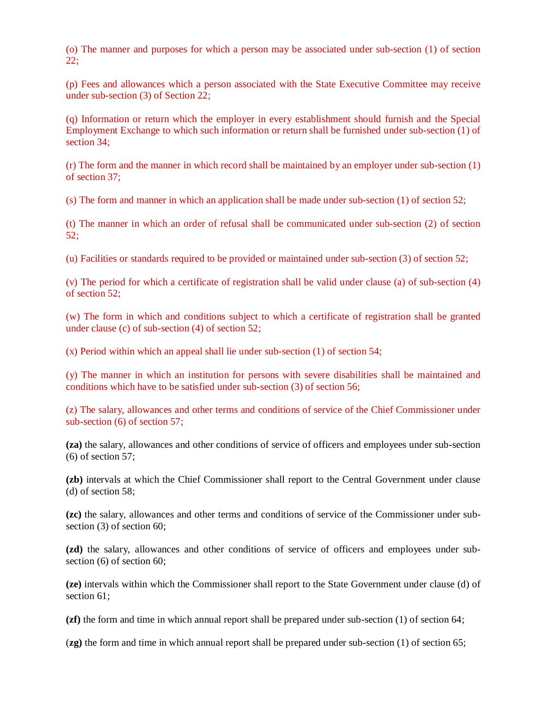(o) The manner and purposes for which a person may be associated under sub-section (1) of section 22;

(p) Fees and allowances which a person associated with the State Executive Committee may receive under sub-section (3) of Section 22;

(q) Information or return which the employer in every establishment should furnish and the Special Employment Exchange to which such information or return shall be furnished under sub-section (1) of section 34;

(r) The form and the manner in which record shall be maintained by an employer under sub-section (1) of section 37;

(s) The form and manner in which an application shall be made under sub-section (1) of section 52;

(t) The manner in which an order of refusal shall be communicated under sub-section (2) of section 52;

(u) Facilities or standards required to be provided or maintained under sub-section (3) of section 52;

(v) The period for which a certificate of registration shall be valid under clause (a) of sub-section (4) of section 52;

(w) The form in which and conditions subject to which a certificate of registration shall be granted under clause (c) of sub-section (4) of section 52;

(x) Period within which an appeal shall lie under sub-section (1) of section 54;

(y) The manner in which an institution for persons with severe disabilities shall be maintained and conditions which have to be satisfied under sub-section (3) of section 56;

(z) The salary, allowances and other terms and conditions of service of the Chief Commissioner under sub-section (6) of section 57;

**(za)** the salary, allowances and other conditions of service of officers and employees under sub-section  $(6)$  of section 57;

**(zb)** intervals at which the Chief Commissioner shall report to the Central Government under clause (d) of section 58;

**(zc)** the salary, allowances and other terms and conditions of service of the Commissioner under subsection (3) of section 60;

**(zd)** the salary, allowances and other conditions of service of officers and employees under subsection (6) of section 60;

**(ze)** intervals within which the Commissioner shall report to the State Government under clause (d) of section 61:

**(zf)** the form and time in which annual report shall be prepared under sub-section (1) of section 64;

(**zg)** the form and time in which annual report shall be prepared under sub-section (1) of section 65;